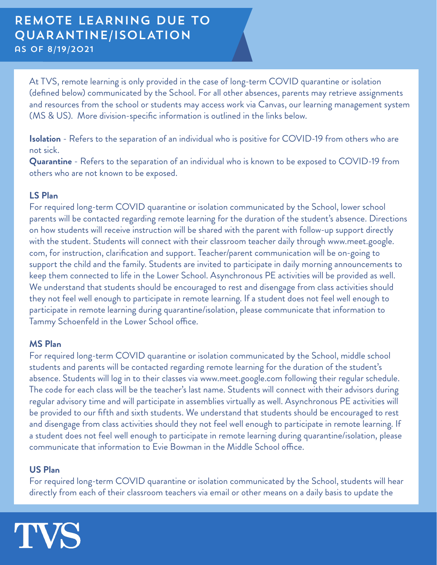At TVS, remote learning is only provided in the case of long-term COVID quarantine or isolation (defined below) communicated by the School. For all other absences, parents may retrieve assignments and resources from the school or students may access work via Canvas, our learning management system (MS & US). More division-specific information is outlined in the links below.

**Isolation** - Refers to the separation of an individual who is positive for COVID-19 from others who are not sick.

**Quarantine** - Refers to the separation of an individual who is known to be exposed to COVID-19 from others who are not known to be exposed.

#### **LS Plan**

For required long-term COVID quarantine or isolation communicated by the School, lower school parents will be contacted regarding remote learning for the duration of the student's absence. Directions on how students will receive instruction will be shared with the parent with follow-up support directly with the student. Students will connect with their classroom teacher daily through www.meet.google. com, for instruction, clarification and support. Teacher/parent communication will be on-going to support the child and the family. Students are invited to participate in daily morning announcements to keep them connected to life in the Lower School. Asynchronous PE activities will be provided as well. We understand that students should be encouraged to rest and disengage from class activities should they not feel well enough to participate in remote learning. If a student does not feel well enough to participate in remote learning during quarantine/isolation, please communicate that information to Tammy Schoenfeld in the Lower School office.

## **MS Plan**

For required long-term COVID quarantine or isolation communicated by the School, middle school students and parents will be contacted regarding remote learning for the duration of the student's absence. Students will log in to their classes via www.meet.google.com following their regular schedule. The code for each class will be the teacher's last name. Students will connect with their advisors during regular advisory time and will participate in assemblies virtually as well. Asynchronous PE activities will be provided to our fifth and sixth students. We understand that students should be encouraged to rest and disengage from class activities should they not feel well enough to participate in remote learning. If a student does not feel well enough to participate in remote learning during quarantine/isolation, please communicate that information to Evie Bowman in the Middle School office.

## **US Plan**

For required long-term COVID quarantine or isolation communicated by the School, students will hear directly from each of their classroom teachers via email or other means on a daily basis to update the